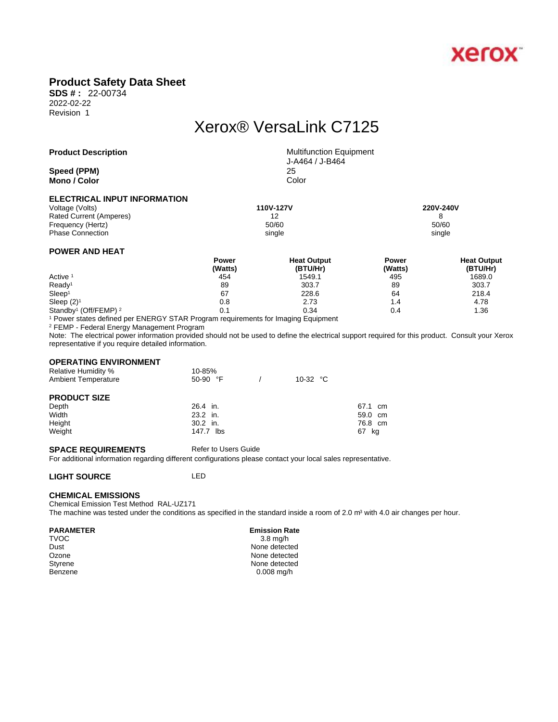

# **Product Safety Data Sheet**

**SDS # :** 22-00734 2022-02-22 Revision 1

# Xerox® VersaLink C7125

| <b>Product Description</b>          | <b>Multifunction Equipment</b><br>J-A464 / J-B464 |
|-------------------------------------|---------------------------------------------------|
| Speed (PPM)                         | 25                                                |
| Mono / Color                        | Color                                             |
| <b>ELECTRICAL INPUT INFORMATION</b> |                                                   |

| Voltage (Volts)         | 110V-127V | 220V-240V |
|-------------------------|-----------|-----------|
| Rated Current (Amperes) | 12        |           |
| Frequency (Hertz)       | 50/60     | 50/60     |
| <b>Phase Connection</b> | single    | single    |
|                         |           |           |

### **POWER AND HEAT**

|                                              | <b>Power</b> | <b>Heat Output</b> | <b>Power</b> | <b>Heat Output</b> |  |
|----------------------------------------------|--------------|--------------------|--------------|--------------------|--|
|                                              | (Watts)      | (BTU/Hr)           | (Watts)      | (BTU/Hr)           |  |
| Active <sup>1</sup>                          | 454          | 1549.1             | 495          | 1689.0             |  |
| Ready <sup>1</sup>                           | 89           | 303.7              | 89           | 303.7              |  |
| Sleep <sup>1</sup>                           | 67           | 228.6              | 64           | 218.4              |  |
| Sleep $(2)^1$                                | 0.8          | 2.73               | 4.۱          | 4.78               |  |
| Standby <sup>1</sup> (Off/FEMP) <sup>2</sup> | 0.1          | 0.34               | 0.4          | 1.36               |  |

1 Power states defined per ENERGY STAR Program requirements for Imaging Equipment

2 FEMP - Federal Energy Management Program

Note: The electrical power information provided should not be used to define the electrical support required for this product. Consult your Xerox representative if you require detailed information.

#### **OPERATING ENVIRONMENT**

| <b>Relative Humidity %</b><br><b>Ambient Temperature</b> | 10-85%<br>50-90 $\degree$ F | 10-32 $\degree$ C |          |  |
|----------------------------------------------------------|-----------------------------|-------------------|----------|--|
| <b>PRODUCT SIZE</b>                                      |                             |                   |          |  |
| Depth                                                    | 26.4 in.                    |                   | 67.1 cm  |  |
| Width                                                    | 23.2 in.                    |                   | 59.0 cm  |  |
| Height                                                   | $30.2$ in.                  |                   | 76.8 cm  |  |
| Weight                                                   | 147.7 lbs                   |                   | 67<br>kg |  |

#### **SPACE REQUIREMENTS** Refer to Users Guide

For additional information regarding different configurations please contact your local sales representative.

#### **LIGHT SOURCE** LED

#### **CHEMICAL EMISSIONS**

Chemical Emission Test Method RAL-UZ171 The machine was tested under the conditions as specified in the standard inside a room of 2.0 m<sup>3</sup> with 4.0 air changes per hour.

#### PARAMETER **EMISSION RATE** PARAMETER

 $T\vee$ OC  $3.8$  mg/h Dust None detected Ozone None detected<br>
Styrene None detected<br>
None detected None detected Benzene 0.008 mg/h